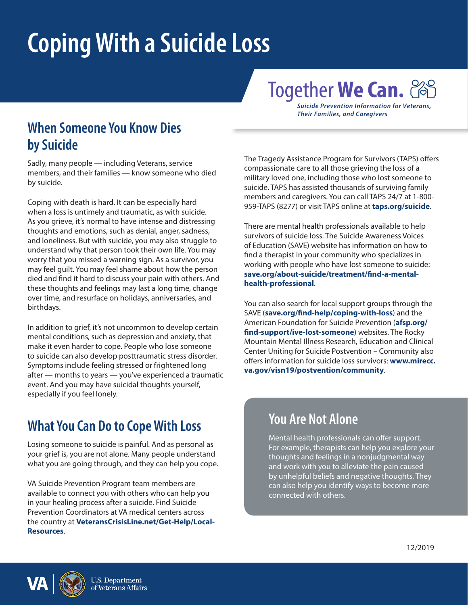# **Coping With a Suicide Loss**

## Together **We Can.**

*Suicide Prevention Information for Veterans, Their Families, and Caregivers*

#### **When Someone You Know Dies by Suicide**

Sadly, many people — including Veterans, service members, and their families — know someone who died by suicide.

Coping with death is hard. It can be especially hard when a loss is untimely and traumatic, as with suicide. As you grieve, it's normal to have intense and distressing thoughts and emotions, such as denial, anger, sadness, and loneliness. But with suicide, you may also struggle to understand why that person took their own life. You may worry that you missed a warning sign. As a survivor, you may feel guilt. You may feel shame about how the person died and find it hard to discuss your pain with others. And these thoughts and feelings may last a long time, change over time, and resurface on holidays, anniversaries, and birthdays.

In addition to grief, it's not uncommon to develop certain mental conditions, such as depression and anxiety, that make it even harder to cope. People who lose someone to suicide can also develop posttraumatic stress disorder. Symptoms include feeling stressed or frightened long after — months to years — you've experienced a traumatic event. And you may have suicidal thoughts yourself, especially if you feel lonely.

#### **What You Can Do to Cope With Loss**

Losing someone to suicide is painful. And as personal as your grief is, you are not alone. Many people understand what you are going through, and they can help you cope.

VA Suicide Prevention Program team members are available to connect you with others who can help you in your healing process after a suicide. Find Suicide Prevention Coordinators at VA medical centers across the country at **[VeteransCrisisLine.net/Get-Help/Local-](http://www.veteranscrisisline.net/get-help/local-resources)[Resources](http://www.veteranscrisisline.net/get-help/local-resources)**.

The Tragedy Assistance Program for Survivors (TAPS) offers compassionate care to all those grieving the loss of a military loved one, including those who lost someone to suicide. TAPS has assisted thousands of surviving family members and caregivers. You can call TAPS 24/7 at 1-800- 959-TAPS (8277) or visit TAPS online at **[taps.org/suicide](http://taps.org/suicide)**.

There are mental health professionals available to help survivors of suicide loss. The Suicide Awareness Voices of Education (SAVE) website has information on how to find a therapist in your community who specializes in working with people who have lost someone to suicide: **[save.org/about-suicide/treatment/find-a-mental](http://save.org/about-suicide/treatment/find-a-mental-health-professional)[health-professional](http://save.org/about-suicide/treatment/find-a-mental-health-professional)**.

You can also search for local support groups through the SAVE (**[save.org/find-help/coping-with-loss](http://save.org/find-help/coping-with-loss)**) and the American Foundation for Suicide Prevention (**[afsp.org/](http://afsp.org/find-support/ive-lost-someone) [find-support/ive-lost-someone](http://afsp.org/find-support/ive-lost-someone)**) websites. The Rocky Mountain Mental Illness Research, Education and Clinical Center Uniting for Suicide Postvention – Community also offers information for suicide loss survivors: **[www.mirecc.](http://www.mirecc.va.gov/visn19/postvention/community) [va.gov/visn19/postvention/community](http://www.mirecc.va.gov/visn19/postvention/community)**.

#### **You Are Not Alone**

Mental health professionals can offer support. For example, therapists can help you explore your thoughts and feelings in a nonjudgmental way and work with you to alleviate the pain caused by unhelpful beliefs and negative thoughts. They can also help you identify ways to become more connected with others.